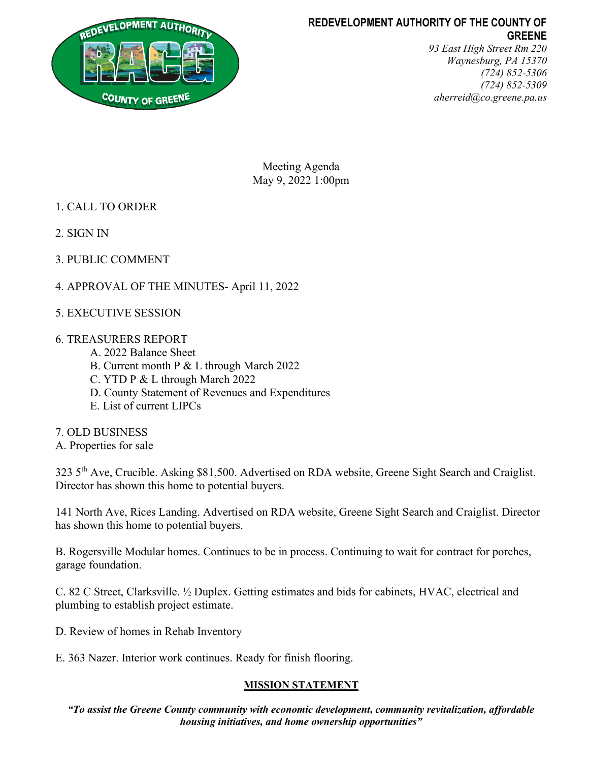

# REDEVELOPMENT AUTHORITY OF THE COUNTY OF GREENE

93 East High Street Rm 220 Waynesburg, PA 15370 (724) 852-5306 (724) 852-5309 aherreid@co.greene.pa.us

Meeting Agenda May 9, 2022 1:00pm

- 1. CALL TO ORDER
- 2. SIGN IN
- 3. PUBLIC COMMENT
- 4. APPROVAL OF THE MINUTES- April 11, 2022
- 5. EXECUTIVE SESSION

## 6. TREASURERS REPORT

- A. 2022 Balance Sheet
- B. Current month P & L through March 2022
- C. YTD P & L through March 2022
- D. County Statement of Revenues and Expenditures
- E. List of current LIPCs
- 7. OLD BUSINESS
- A. Properties for sale

323 5th Ave, Crucible. Asking \$81,500. Advertised on RDA website, Greene Sight Search and Craiglist. Director has shown this home to potential buyers.

141 North Ave, Rices Landing. Advertised on RDA website, Greene Sight Search and Craiglist. Director has shown this home to potential buyers.

B. Rogersville Modular homes. Continues to be in process. Continuing to wait for contract for porches, garage foundation.

C. 82 C Street, Clarksville. ½ Duplex. Getting estimates and bids for cabinets, HVAC, electrical and plumbing to establish project estimate.

- D. Review of homes in Rehab Inventory
- E. 363 Nazer. Interior work continues. Ready for finish flooring.

## MISSION STATEMENT

"To assist the Greene County community with economic development, community revitalization, affordable housing initiatives, and home ownership opportunities"